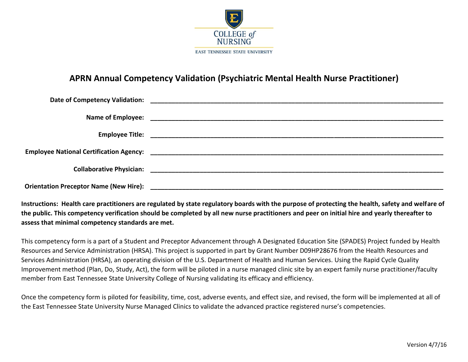

## **APRN Annual Competency Validation (Psychiatric Mental Health Nurse Practitioner)**

**Instructions: Health care practitioners are regulated by state regulatory boards with the purpose of protecting the health, safety and welfare of the public. This competency verification should be completed by all new nurse practitioners and peer on initial hire and yearly thereafter to assess that minimal competency standards are met.**

This competency form is a part of a Student and Preceptor Advancement through A Designated Education Site (SPADES) Project funded by Health Resources and Service Administration (HRSA). This project is supported in part by Grant Number D09HP28676 from the Health Resources and Services Administration (HRSA), an operating division of the U.S. Department of Health and Human Services. Using the Rapid Cycle Quality Improvement method (Plan, Do, Study, Act), the form will be piloted in a nurse managed clinic site by an expert family nurse practitioner/faculty member from East Tennessee State University College of Nursing validating its efficacy and efficiency.

Once the competency form is piloted for feasibility, time, cost, adverse events, and effect size, and revised, the form will be implemented at all of the East Tennessee State University Nurse Managed Clinics to validate the advanced practice registered nurse's competencies.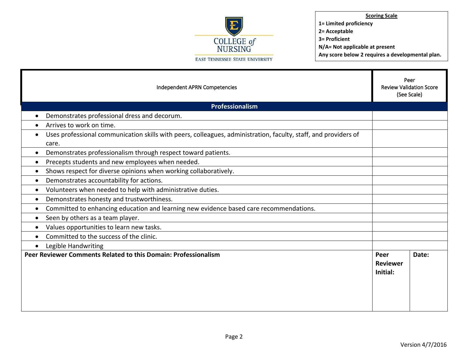

**Scoring Scale 1= Limited proficiency 2= Acceptable 3= Proficient**

**N/A= Not applicable at present**

**Any score below 2 requires a developmental plan.** 

| Independent APRN Competencies                                                                                                         |                                     | Peer<br><b>Review Validation Score</b><br>(See Scale) |  |
|---------------------------------------------------------------------------------------------------------------------------------------|-------------------------------------|-------------------------------------------------------|--|
| Professionalism                                                                                                                       |                                     |                                                       |  |
| Demonstrates professional dress and decorum.<br>$\bullet$                                                                             |                                     |                                                       |  |
| Arrives to work on time.<br>$\bullet$                                                                                                 |                                     |                                                       |  |
| Uses professional communication skills with peers, colleagues, administration, faculty, staff, and providers of<br>$\bullet$<br>care. |                                     |                                                       |  |
| Demonstrates professionalism through respect toward patients.<br>$\bullet$                                                            |                                     |                                                       |  |
| Precepts students and new employees when needed.<br>$\bullet$                                                                         |                                     |                                                       |  |
| Shows respect for diverse opinions when working collaboratively.<br>$\bullet$                                                         |                                     |                                                       |  |
| Demonstrates accountability for actions.<br>$\bullet$                                                                                 |                                     |                                                       |  |
| Volunteers when needed to help with administrative duties.<br>$\bullet$                                                               |                                     |                                                       |  |
| Demonstrates honesty and trustworthiness.<br>$\bullet$                                                                                |                                     |                                                       |  |
| Committed to enhancing education and learning new evidence based care recommendations.<br>$\bullet$                                   |                                     |                                                       |  |
| Seen by others as a team player.<br>$\bullet$                                                                                         |                                     |                                                       |  |
| Values opportunities to learn new tasks.<br>$\bullet$                                                                                 |                                     |                                                       |  |
| Committed to the success of the clinic.<br>$\bullet$                                                                                  |                                     |                                                       |  |
| Legible Handwriting<br>$\bullet$                                                                                                      |                                     |                                                       |  |
| Peer Reviewer Comments Related to this Domain: Professionalism                                                                        | Peer<br><b>Reviewer</b><br>Initial: | Date:                                                 |  |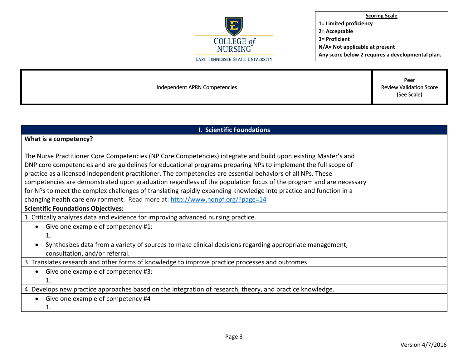

Independent APRN Competencies

Peer Review Validation Score (See Scale)

| <b>I. Scientific Foundations</b>                                                                                     |  |  |
|----------------------------------------------------------------------------------------------------------------------|--|--|
| What is a competency?                                                                                                |  |  |
|                                                                                                                      |  |  |
| The Nurse Practitioner Core Competencies (NP Core Competencies) integrate and build upon existing Master's and       |  |  |
| DNP core competencies and are guidelines for educational programs preparing NPs to implement the full scope of       |  |  |
| practice as a licensed independent practitioner. The competencies are essential behaviors of all NPs. These          |  |  |
| competencies are demonstrated upon graduation regardless of the population focus of the program and are necessary    |  |  |
| for NPs to meet the complex challenges of translating rapidly expanding knowledge into practice and function in a    |  |  |
| changing health care environment. Read more at: http://www.nonpf.org/?page=14                                        |  |  |
| <b>Scientific Foundations Objectives:</b>                                                                            |  |  |
| 1. Critically analyzes data and evidence for improving advanced nursing practice.                                    |  |  |
| Give one example of competency #1:                                                                                   |  |  |
|                                                                                                                      |  |  |
| Synthesizes data from a variety of sources to make clinical decisions regarding appropriate management,<br>$\bullet$ |  |  |
| consultation, and/or referral.                                                                                       |  |  |
| 3. Translates research and other forms of knowledge to improve practice processes and outcomes                       |  |  |
| Give one example of competency #3:                                                                                   |  |  |
|                                                                                                                      |  |  |
| 4. Develops new practice approaches based on the integration of research, theory, and practice knowledge.            |  |  |
| Give one example of competency #4                                                                                    |  |  |
| 1.                                                                                                                   |  |  |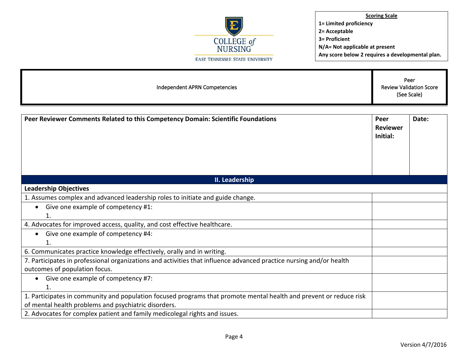

| Independent APRN Competencies                                                                                       |                                     | Peer<br><b>Review Validation Score</b><br>(See Scale) |  |
|---------------------------------------------------------------------------------------------------------------------|-------------------------------------|-------------------------------------------------------|--|
| Peer Reviewer Comments Related to this Competency Domain: Scientific Foundations                                    | Peer<br><b>Reviewer</b><br>Initial: | Date:                                                 |  |
| II. Leadership                                                                                                      |                                     |                                                       |  |
| <b>Leadership Objectives</b>                                                                                        |                                     |                                                       |  |
| 1. Assumes complex and advanced leadership roles to initiate and guide change.                                      |                                     |                                                       |  |
| Give one example of competency #1:<br>$\bullet$<br>1.                                                               |                                     |                                                       |  |
| 4. Advocates for improved access, quality, and cost effective healthcare.                                           |                                     |                                                       |  |
| Give one example of competency #4:<br>$\bullet$                                                                     |                                     |                                                       |  |
| 1.                                                                                                                  |                                     |                                                       |  |
| 6. Communicates practice knowledge effectively, orally and in writing.                                              |                                     |                                                       |  |
| 7. Participates in professional organizations and activities that influence advanced practice nursing and/or health |                                     |                                                       |  |
| outcomes of population focus.                                                                                       |                                     |                                                       |  |
| Give one example of competency #7:<br>$\bullet$<br>1.                                                               |                                     |                                                       |  |
| 1. Participates in community and population focused programs that promote mental health and prevent or reduce risk  |                                     |                                                       |  |
| of mental health problems and psychiatric disorders.                                                                |                                     |                                                       |  |
| 2. Advocates for complex patient and family medicolegal rights and issues.                                          |                                     |                                                       |  |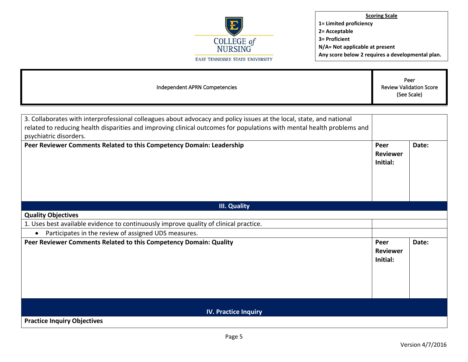

| Independent APRN Competencies                                                                                                                                                                                                                                            |                                     | Peer<br><b>Review Validation Score</b><br>(See Scale) |  |
|--------------------------------------------------------------------------------------------------------------------------------------------------------------------------------------------------------------------------------------------------------------------------|-------------------------------------|-------------------------------------------------------|--|
|                                                                                                                                                                                                                                                                          |                                     |                                                       |  |
| 3. Collaborates with interprofessional colleagues about advocacy and policy issues at the local, state, and national<br>related to reducing health disparities and improving clinical outcomes for populations with mental health problems and<br>psychiatric disorders. |                                     |                                                       |  |
| Peer Reviewer Comments Related to this Competency Domain: Leadership                                                                                                                                                                                                     | Peer<br><b>Reviewer</b><br>Initial: | Date:                                                 |  |
| <b>III. Quality</b>                                                                                                                                                                                                                                                      |                                     |                                                       |  |
| <b>Quality Objectives</b>                                                                                                                                                                                                                                                |                                     |                                                       |  |
| 1. Uses best available evidence to continuously improve quality of clinical practice.                                                                                                                                                                                    |                                     |                                                       |  |
| Participates in the review of assigned UDS measures.<br>$\bullet$                                                                                                                                                                                                        |                                     |                                                       |  |
| Peer Reviewer Comments Related to this Competency Domain: Quality                                                                                                                                                                                                        | Peer<br><b>Reviewer</b><br>Initial: | Date:                                                 |  |
| <b>IV. Practice Inquiry</b>                                                                                                                                                                                                                                              |                                     |                                                       |  |
| <b>Practice Inquiry Objectives</b>                                                                                                                                                                                                                                       |                                     |                                                       |  |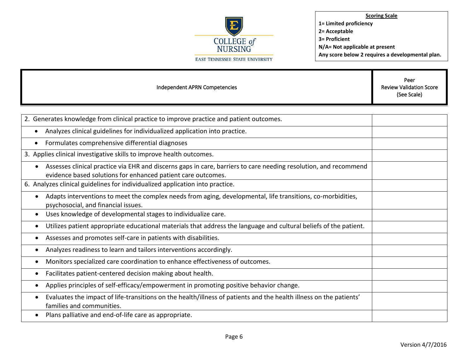

| Independent APRN Competencies                                                                                                                                                                 | Peer<br><b>Review Validation Score</b><br>(See Scale) |
|-----------------------------------------------------------------------------------------------------------------------------------------------------------------------------------------------|-------------------------------------------------------|
|                                                                                                                                                                                               |                                                       |
| 2. Generates knowledge from clinical practice to improve practice and patient outcomes.                                                                                                       |                                                       |
| Analyzes clinical guidelines for individualized application into practice.<br>$\bullet$                                                                                                       |                                                       |
| Formulates comprehensive differential diagnoses<br>$\bullet$                                                                                                                                  |                                                       |
| 3. Applies clinical investigative skills to improve health outcomes.                                                                                                                          |                                                       |
| Assesses clinical practice via EHR and discerns gaps in care, barriers to care needing resolution, and recommend<br>$\bullet$<br>evidence based solutions for enhanced patient care outcomes. |                                                       |
| 6. Analyzes clinical guidelines for individualized application into practice.                                                                                                                 |                                                       |
| Adapts interventions to meet the complex needs from aging, developmental, life transitions, co-morbidities,<br>$\bullet$<br>psychosocial, and financial issues.                               |                                                       |
| Uses knowledge of developmental stages to individualize care.<br>٠                                                                                                                            |                                                       |
| Utilizes patient appropriate educational materials that address the language and cultural beliefs of the patient.<br>$\bullet$                                                                |                                                       |
| Assesses and promotes self-care in patients with disabilities.<br>$\bullet$                                                                                                                   |                                                       |
| Analyzes readiness to learn and tailors interventions accordingly.<br>$\bullet$                                                                                                               |                                                       |
| Monitors specialized care coordination to enhance effectiveness of outcomes.<br>$\bullet$                                                                                                     |                                                       |
| Facilitates patient-centered decision making about health.<br>٠                                                                                                                               |                                                       |
| Applies principles of self-efficacy/empowerment in promoting positive behavior change.<br>$\bullet$                                                                                           |                                                       |
| Evaluates the impact of life-transitions on the health/illness of patients and the health illness on the patients'<br>٠<br>families and communities.                                          |                                                       |
| Plans palliative and end-of-life care as appropriate.<br>$\bullet$                                                                                                                            |                                                       |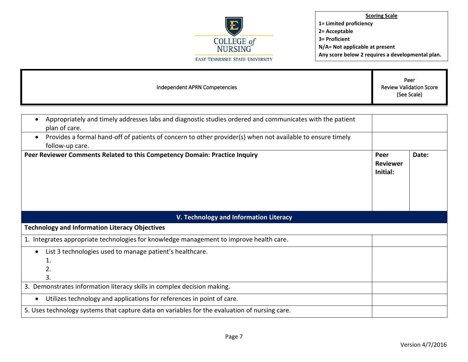

г

| Independent APRN Competencies                                                                                                              |                                     | Peer<br><b>Review Validation Score</b><br>(See Scale) |  |
|--------------------------------------------------------------------------------------------------------------------------------------------|-------------------------------------|-------------------------------------------------------|--|
| Appropriately and timely addresses labs and diagnostic studies ordered and communicates with the patient                                   |                                     |                                                       |  |
| plan of care.                                                                                                                              |                                     |                                                       |  |
| Provides a formal hand-off of patients of concern to other provider(s) when not available to ensure timely<br>$\bullet$<br>follow-up care. |                                     |                                                       |  |
| Peer Reviewer Comments Related to this Competency Domain: Practice Inquiry                                                                 | Peer<br><b>Reviewer</b><br>Initial: | Date:                                                 |  |
| V. Technology and Information Literacy                                                                                                     |                                     |                                                       |  |
| <b>Technology and Information Literacy Objectives</b>                                                                                      |                                     |                                                       |  |
| 1. Integrates appropriate technologies for knowledge management to improve health care.                                                    |                                     |                                                       |  |
| List 3 technologies used to manage patient's healthcare.<br>1.<br>2.<br>3.                                                                 |                                     |                                                       |  |
| 3. Demonstrates information literacy skills in complex decision making.                                                                    |                                     |                                                       |  |
| Utilizes technology and applications for references in point of care.                                                                      |                                     |                                                       |  |
| 5. Uses technology systems that capture data on variables for the evaluation of nursing care.                                              |                                     |                                                       |  |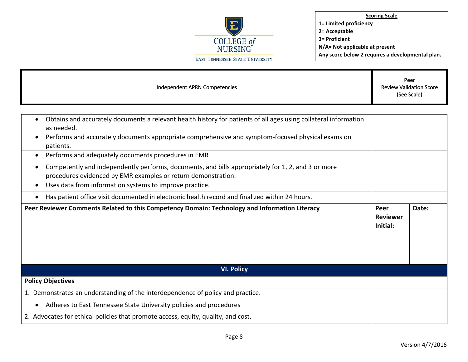

| Independent APRN Competencies                                                                                                                                                    |                                     | Peer<br><b>Review Validation Score</b><br>(See Scale) |  |
|----------------------------------------------------------------------------------------------------------------------------------------------------------------------------------|-------------------------------------|-------------------------------------------------------|--|
|                                                                                                                                                                                  |                                     |                                                       |  |
| Obtains and accurately documents a relevant health history for patients of all ages using collateral information<br>$\bullet$<br>as needed.                                      |                                     |                                                       |  |
| Performs and accurately documents appropriate comprehensive and symptom-focused physical exams on<br>$\bullet$<br>patients.                                                      |                                     |                                                       |  |
| Performs and adequately documents procedures in EMR<br>$\bullet$                                                                                                                 |                                     |                                                       |  |
| Competently and independently performs, documents, and bills appropriately for 1, 2, and 3 or more<br>$\bullet$<br>procedures evidenced by EMR examples or return demonstration. |                                     |                                                       |  |
| Uses data from information systems to improve practice.<br>٠                                                                                                                     |                                     |                                                       |  |
| Has patient office visit documented in electronic health record and finalized within 24 hours.<br>$\bullet$                                                                      |                                     |                                                       |  |
| Peer Reviewer Comments Related to this Competency Domain: Technology and Information Literacy                                                                                    | Peer<br><b>Reviewer</b><br>Initial: | Date:                                                 |  |
| <b>VI. Policy</b>                                                                                                                                                                |                                     |                                                       |  |
| <b>Policy Objectives</b>                                                                                                                                                         |                                     |                                                       |  |
| 1. Demonstrates an understanding of the interdependence of policy and practice.                                                                                                  |                                     |                                                       |  |
| Adheres to East Tennessee State University policies and procedures<br>$\bullet$                                                                                                  |                                     |                                                       |  |
| 2. Advocates for ethical policies that promote access, equity, quality, and cost.                                                                                                |                                     |                                                       |  |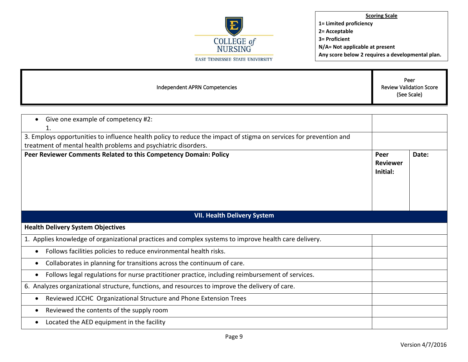

г

| Independent APRN Competencies                                                                                                                                                             |                                     | Peer<br><b>Review Validation Score</b><br>(See Scale) |  |
|-------------------------------------------------------------------------------------------------------------------------------------------------------------------------------------------|-------------------------------------|-------------------------------------------------------|--|
|                                                                                                                                                                                           |                                     |                                                       |  |
| Give one example of competency #2:                                                                                                                                                        |                                     |                                                       |  |
| 1.<br>3. Employs opportunities to influence health policy to reduce the impact of stigma on services for prevention and<br>treatment of mental health problems and psychiatric disorders. |                                     |                                                       |  |
| Peer Reviewer Comments Related to this Competency Domain: Policy                                                                                                                          | Peer<br><b>Reviewer</b><br>Initial: | Date:                                                 |  |
| <b>VII. Health Delivery System</b>                                                                                                                                                        |                                     |                                                       |  |
| <b>Health Delivery System Objectives</b>                                                                                                                                                  |                                     |                                                       |  |
| 1. Applies knowledge of organizational practices and complex systems to improve health care delivery.                                                                                     |                                     |                                                       |  |
| Follows facilities policies to reduce environmental health risks.<br>$\bullet$                                                                                                            |                                     |                                                       |  |
| Collaborates in planning for transitions across the continuum of care.<br>$\bullet$                                                                                                       |                                     |                                                       |  |
| Follows legal regulations for nurse practitioner practice, including reimbursement of services.                                                                                           |                                     |                                                       |  |
| 6. Analyzes organizational structure, functions, and resources to improve the delivery of care.                                                                                           |                                     |                                                       |  |
| Reviewed JCCHC Organizational Structure and Phone Extension Trees<br>$\bullet$                                                                                                            |                                     |                                                       |  |
| Reviewed the contents of the supply room<br>$\bullet$                                                                                                                                     |                                     |                                                       |  |
| Located the AED equipment in the facility                                                                                                                                                 |                                     |                                                       |  |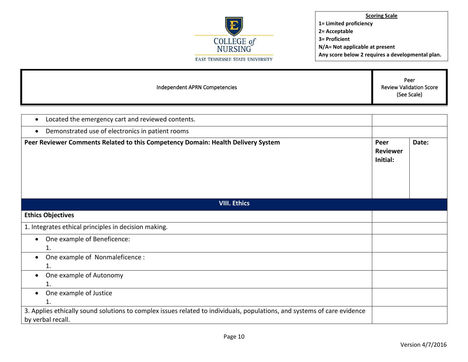

| Independent APRN Competencies | Peer<br><b>Review Validation Score</b><br>(See Scale) |
|-------------------------------|-------------------------------------------------------|
|                               |                                                       |

| Located the emergency cart and reviewed contents.<br>$\bullet$                                                                                |  |       |
|-----------------------------------------------------------------------------------------------------------------------------------------------|--|-------|
| Demonstrated use of electronics in patient rooms                                                                                              |  |       |
| Peer Reviewer Comments Related to this Competency Domain: Health Delivery System<br>Peer<br><b>Reviewer</b><br>Initial:                       |  | Date: |
| <b>VIII. Ethics</b>                                                                                                                           |  |       |
| <b>Ethics Objectives</b>                                                                                                                      |  |       |
| 1. Integrates ethical principles in decision making.                                                                                          |  |       |
| One example of Beneficence:<br>$\bullet$<br>1.                                                                                                |  |       |
| One example of Nonmaleficence :<br>$\bullet$<br>1.                                                                                            |  |       |
| One example of Autonomy<br>$\bullet$<br>1.                                                                                                    |  |       |
| One example of Justice<br>$\bullet$<br>1.                                                                                                     |  |       |
| 3. Applies ethically sound solutions to complex issues related to individuals, populations, and systems of care evidence<br>by verbal recall. |  |       |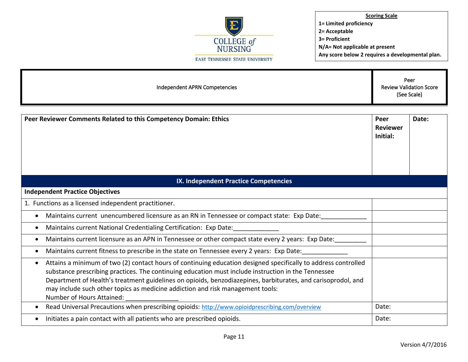

| Independent APRN Competencies                                                                                                                                                                                                                                                                                                                                                                                                                                     |                                     | Peer<br><b>Review Validation Score</b><br>(See Scale) |  |
|-------------------------------------------------------------------------------------------------------------------------------------------------------------------------------------------------------------------------------------------------------------------------------------------------------------------------------------------------------------------------------------------------------------------------------------------------------------------|-------------------------------------|-------------------------------------------------------|--|
| Peer Reviewer Comments Related to this Competency Domain: Ethics                                                                                                                                                                                                                                                                                                                                                                                                  | Peer<br><b>Reviewer</b><br>Initial: | Date:                                                 |  |
| IX. Independent Practice Competencies                                                                                                                                                                                                                                                                                                                                                                                                                             |                                     |                                                       |  |
| <b>Independent Practice Objectives</b>                                                                                                                                                                                                                                                                                                                                                                                                                            |                                     |                                                       |  |
| 1. Functions as a licensed independent practitioner.                                                                                                                                                                                                                                                                                                                                                                                                              |                                     |                                                       |  |
| Maintains current unencumbered licensure as an RN in Tennessee or compact state: Exp Date:<br>$\bullet$                                                                                                                                                                                                                                                                                                                                                           |                                     |                                                       |  |
| Maintains current National Credentialing Certification: Exp Date:<br>٠                                                                                                                                                                                                                                                                                                                                                                                            |                                     |                                                       |  |
| Maintains current licensure as an APN in Tennessee or other compact state every 2 years: Exp Date:<br>٠                                                                                                                                                                                                                                                                                                                                                           |                                     |                                                       |  |
| Maintains current fitness to prescribe in the state on Tennessee every 2 years: Exp Date:<br>٠                                                                                                                                                                                                                                                                                                                                                                    |                                     |                                                       |  |
| Attains a minimum of two (2) contact hours of continuing education designed specifically to address controlled<br>$\bullet$<br>substance prescribing practices. The continuing education must include instruction in the Tennessee<br>Department of Health's treatment guidelines on opioids, benzodiazepines, barbiturates, and carisoprodol, and<br>may include such other topics as medicine addiction and risk management tools:<br>Number of Hours Attained: |                                     |                                                       |  |
| Read Universal Precautions when prescribing opioids: http://www.opioidprescribing.com/overview<br>٠                                                                                                                                                                                                                                                                                                                                                               | Date:                               |                                                       |  |
| Initiates a pain contact with all patients who are prescribed opioids.                                                                                                                                                                                                                                                                                                                                                                                            | Date:                               |                                                       |  |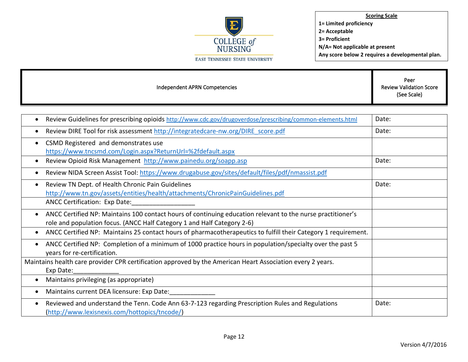

| Independent APRN Competencies | Peer<br><b>Review Validation Score</b><br>(See Scale) |
|-------------------------------|-------------------------------------------------------|
|                               |                                                       |

| Review Guidelines for prescribing opioids http://www.cdc.gov/drugoverdose/prescribing/common-elements.html                                                                                  | Date: |
|---------------------------------------------------------------------------------------------------------------------------------------------------------------------------------------------|-------|
| Review DIRE Tool for risk assessment http://integratedcare-nw.org/DIRE score.pdf                                                                                                            | Date: |
| CSMD Registered and demonstrates use<br>$\bullet$<br>https://www.tncsmd.com/Login.aspx?ReturnUrl=%2fdefault.aspx                                                                            |       |
| Review Opioid Risk Management http://www.painedu.org/soapp.asp                                                                                                                              | Date: |
| Review NIDA Screen Assist Tool: https://www.drugabuse.gov/sites/default/files/pdf/nmassist.pdf<br>$\epsilon$                                                                                |       |
| Review TN Dept. of Health Chronic Pain Guidelines<br>٠<br>http://www.tn.gov/assets/entities/health/attachments/ChronicPainGuidelines.pdf                                                    | Date: |
| <b>ANCC Certification: Exp Date:</b>                                                                                                                                                        |       |
| ANCC Certified NP: Maintains 100 contact hours of continuing education relevant to the nurse practitioner's<br>٠<br>role and population focus. (ANCC Half Category 1 and Half Category 2-6) |       |
| ANCC Certified NP: Maintains 25 contact hours of pharmacotherapeutics to fulfill their Category 1 requirement.<br>$\bullet$                                                                 |       |
| ANCC Certified NP: Completion of a minimum of 1000 practice hours in population/specialty over the past 5<br>٠<br>years for re-certification.                                               |       |
| Maintains health care provider CPR certification approved by the American Heart Association every 2 years.<br>Exp Date:                                                                     |       |
| Maintains privileging (as appropriate)<br>$\bullet$                                                                                                                                         |       |
| Maintains current DEA licensure: Exp Date:<br>€                                                                                                                                             |       |
| Reviewed and understand the Tenn. Code Ann 63-7-123 regarding Prescription Rules and Regulations<br>$\bullet$<br>(http://www.lexisnexis.com/hottopics/tncode/)                              | Date: |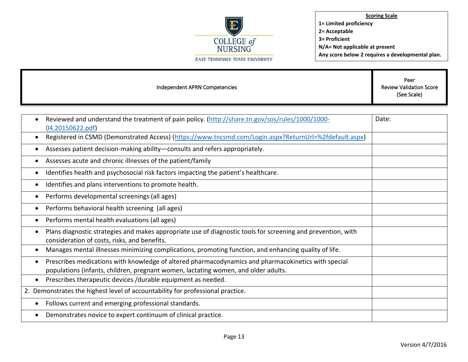

| Independent APRN Competencies | Peer<br><b>Review Validation Score</b><br>(See Scale) |
|-------------------------------|-------------------------------------------------------|
|                               |                                                       |

| Date: |
|-------|
|       |
|       |
|       |
|       |
|       |
|       |
|       |
|       |
|       |
|       |
|       |
|       |
|       |
|       |
|       |
|       |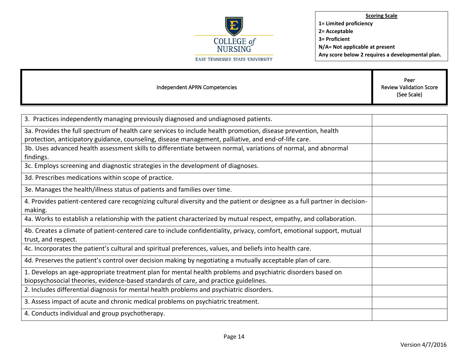

| Independent APRN Competencies                                                                                                                                                                       | Peer<br><b>Review Validation Score</b><br>(See Scale) |
|-----------------------------------------------------------------------------------------------------------------------------------------------------------------------------------------------------|-------------------------------------------------------|
|                                                                                                                                                                                                     |                                                       |
| 3. Practices independently managing previously diagnosed and undiagnosed patients.                                                                                                                  |                                                       |
| 3a. Provides the full spectrum of health care services to include health promotion, disease prevention, health                                                                                      |                                                       |
| protection, anticipatory guidance, counseling, disease management, palliative, and end-of-life care.                                                                                                |                                                       |
| 3b. Uses advanced health assessment skills to differentiate between normal, variations of normal, and abnormal                                                                                      |                                                       |
| findings.                                                                                                                                                                                           |                                                       |
| 3c. Employs screening and diagnostic strategies in the development of diagnoses.                                                                                                                    |                                                       |
| 3d. Prescribes medications within scope of practice.                                                                                                                                                |                                                       |
| 3e. Manages the health/illness status of patients and families over time.                                                                                                                           |                                                       |
| 4. Provides patient-centered care recognizing cultural diversity and the patient or designee as a full partner in decision-<br>making.                                                              |                                                       |
| 4a. Works to establish a relationship with the patient characterized by mutual respect, empathy, and collaboration.                                                                                 |                                                       |
| 4b. Creates a climate of patient-centered care to include confidentiality, privacy, comfort, emotional support, mutual<br>trust, and respect.                                                       |                                                       |
| 4c. Incorporates the patient's cultural and spiritual preferences, values, and beliefs into health care.                                                                                            |                                                       |
| 4d. Preserves the patient's control over decision making by negotiating a mutually acceptable plan of care.                                                                                         |                                                       |
| 1. Develops an age-appropriate treatment plan for mental health problems and psychiatric disorders based on<br>biopsychosocial theories, evidence-based standards of care, and practice guidelines. |                                                       |
| 2. Includes differential diagnosis for mental health problems and psychiatric disorders.                                                                                                            |                                                       |
| 3. Assess impact of acute and chronic medical problems on psychiatric treatment.                                                                                                                    |                                                       |
| 4. Conducts individual and group psychotherapy.                                                                                                                                                     |                                                       |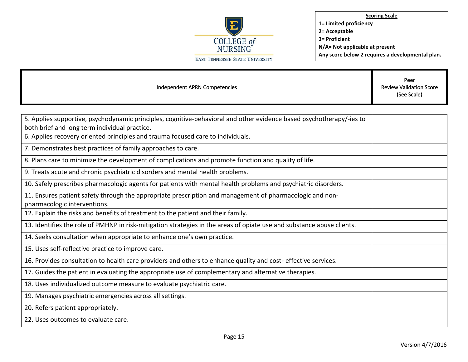

| Independent APRN Competencies                                                                                                                                         | Peer<br><b>Review Validation Score</b><br>(See Scale) |
|-----------------------------------------------------------------------------------------------------------------------------------------------------------------------|-------------------------------------------------------|
|                                                                                                                                                                       |                                                       |
| 5. Applies supportive, psychodynamic principles, cognitive-behavioral and other evidence based psychotherapy/-ies to<br>both brief and long term individual practice. |                                                       |
| 6. Applies recovery oriented principles and trauma focused care to individuals.                                                                                       |                                                       |
| 7. Demonstrates best practices of family approaches to care.                                                                                                          |                                                       |
| 8. Plans care to minimize the development of complications and promote function and quality of life.                                                                  |                                                       |
| 9. Treats acute and chronic psychiatric disorders and mental health problems.                                                                                         |                                                       |
| 10. Safely prescribes pharmacologic agents for patients with mental health problems and psychiatric disorders.                                                        |                                                       |
| 11. Ensures patient safety through the appropriate prescription and management of pharmacologic and non-<br>pharmacologic interventions.                              |                                                       |
| 12. Explain the risks and benefits of treatment to the patient and their family.                                                                                      |                                                       |
| 13. Identifies the role of PMHNP in risk-mitigation strategies in the areas of opiate use and substance abuse clients.                                                |                                                       |
| 14. Seeks consultation when appropriate to enhance one's own practice.                                                                                                |                                                       |
| 15. Uses self-reflective practice to improve care.                                                                                                                    |                                                       |
| 16. Provides consultation to health care providers and others to enhance quality and cost- effective services.                                                        |                                                       |
| 17. Guides the patient in evaluating the appropriate use of complementary and alternative therapies.                                                                  |                                                       |
| 18. Uses individualized outcome measure to evaluate psychiatric care.                                                                                                 |                                                       |
| 19. Manages psychiatric emergencies across all settings.                                                                                                              |                                                       |
| 20. Refers patient appropriately.                                                                                                                                     |                                                       |
| 22. Uses outcomes to evaluate care.                                                                                                                                   |                                                       |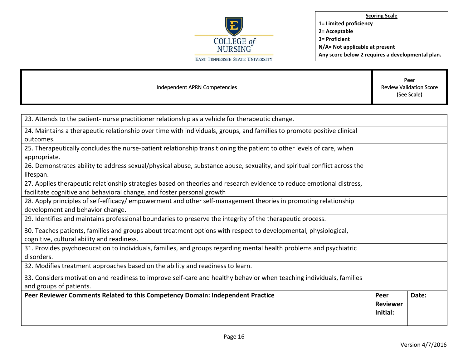

| Independent APRN Competencies                                                                                                                                                                   |                                     | Peer<br><b>Review Validation Score</b><br>(See Scale) |
|-------------------------------------------------------------------------------------------------------------------------------------------------------------------------------------------------|-------------------------------------|-------------------------------------------------------|
|                                                                                                                                                                                                 |                                     |                                                       |
| 23. Attends to the patient- nurse practitioner relationship as a vehicle for therapeutic change.                                                                                                |                                     |                                                       |
| 24. Maintains a therapeutic relationship over time with individuals, groups, and families to promote positive clinical<br>outcomes.                                                             |                                     |                                                       |
| 25. Therapeutically concludes the nurse-patient relationship transitioning the patient to other levels of care, when<br>appropriate.                                                            |                                     |                                                       |
| 26. Demonstrates ability to address sexual/physical abuse, substance abuse, sexuality, and spiritual conflict across the<br>lifespan.                                                           |                                     |                                                       |
| 27. Applies therapeutic relationship strategies based on theories and research evidence to reduce emotional distress,<br>facilitate cognitive and behavioral change, and foster personal growth |                                     |                                                       |
| 28. Apply principles of self-efficacy/ empowerment and other self-management theories in promoting relationship<br>development and behavior change.                                             |                                     |                                                       |
| 29. Identifies and maintains professional boundaries to preserve the integrity of the therapeutic process.                                                                                      |                                     |                                                       |
| 30. Teaches patients, families and groups about treatment options with respect to developmental, physiological,<br>cognitive, cultural ability and readiness.                                   |                                     |                                                       |
| 31. Provides psychoeducation to individuals, families, and groups regarding mental health problems and psychiatric<br>disorders.                                                                |                                     |                                                       |
| 32. Modifies treatment approaches based on the ability and readiness to learn.                                                                                                                  |                                     |                                                       |
| 33. Considers motivation and readiness to improve self-care and healthy behavior when teaching individuals, families<br>and groups of patients.                                                 |                                     |                                                       |
| Peer Reviewer Comments Related to this Competency Domain: Independent Practice                                                                                                                  | Peer<br><b>Reviewer</b><br>Initial: | Date:                                                 |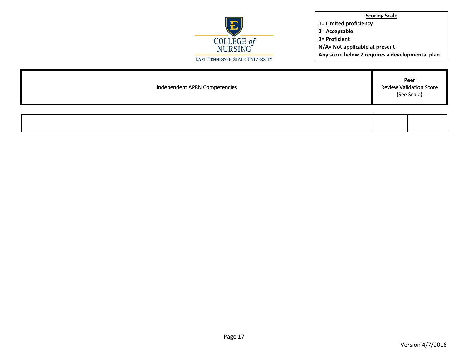

| Independent APRN Competencies | Peer<br>Review Validation Score<br>(See Scale) |  |  |
|-------------------------------|------------------------------------------------|--|--|
|                               |                                                |  |  |
|                               |                                                |  |  |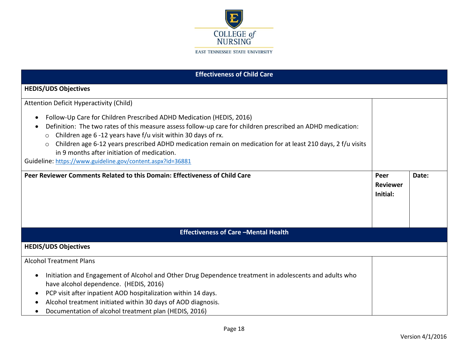

| <b>Effectiveness of Child Care</b>                                                                                                                                                                                                                                                                                                                                                                                                                                                  |                                     |       |
|-------------------------------------------------------------------------------------------------------------------------------------------------------------------------------------------------------------------------------------------------------------------------------------------------------------------------------------------------------------------------------------------------------------------------------------------------------------------------------------|-------------------------------------|-------|
| <b>HEDIS/UDS Objectives</b>                                                                                                                                                                                                                                                                                                                                                                                                                                                         |                                     |       |
| Attention Deficit Hyperactivity (Child)<br>Follow-Up Care for Children Prescribed ADHD Medication (HEDIS, 2016)<br>Definition: The two rates of this measure assess follow-up care for children prescribed an ADHD medication:<br>Children age 6 -12 years have f/u visit within 30 days of rx.<br>$\circ$<br>Children age 6-12 years prescribed ADHD medication remain on medication for at least 210 days, 2 f/u visits<br>$\circ$<br>in 9 months after initiation of medication. |                                     |       |
| Guideline: https://www.guideline.gov/content.aspx?id=36881<br>Peer Reviewer Comments Related to this Domain: Effectiveness of Child Care                                                                                                                                                                                                                                                                                                                                            | Peer<br><b>Reviewer</b><br>Initial: | Date: |
| <b>Effectiveness of Care -Mental Health</b>                                                                                                                                                                                                                                                                                                                                                                                                                                         |                                     |       |
| <b>HEDIS/UDS Objectives</b>                                                                                                                                                                                                                                                                                                                                                                                                                                                         |                                     |       |
| <b>Alcohol Treatment Plans</b><br>Initiation and Engagement of Alcohol and Other Drug Dependence treatment in adolescents and adults who<br>$\bullet$<br>have alcohol dependence. (HEDIS, 2016)<br>PCP visit after inpatient AOD hospitalization within 14 days.<br>Alcohol treatment initiated within 30 days of AOD diagnosis.<br>Documentation of alcohol treatment plan (HEDIS, 2016)                                                                                           |                                     |       |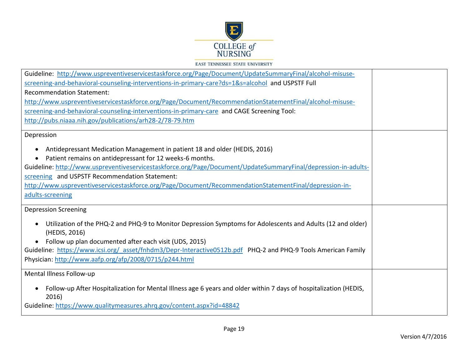

| Guideline: http://www.uspreventiveservicestaskforce.org/Page/Document/UpdateSummaryFinal/alcohol-misuse-                                |  |
|-----------------------------------------------------------------------------------------------------------------------------------------|--|
| screening-and-behavioral-counseling-interventions-in-primary-care?ds=1&s=alcohol and USPSTF Full                                        |  |
| <b>Recommendation Statement:</b>                                                                                                        |  |
| http://www.uspreventiveservicestaskforce.org/Page/Document/RecommendationStatementFinal/alcohol-misuse-                                 |  |
| screening-and-behavioral-counseling-interventions-in-primary-care and CAGE Screening Tool:                                              |  |
| http://pubs.niaaa.nih.gov/publications/arh28-2/78-79.htm                                                                                |  |
| Depression                                                                                                                              |  |
| Antidepressant Medication Management in patient 18 and older (HEDIS, 2016)<br>$\bullet$                                                 |  |
| Patient remains on antidepressant for 12 weeks-6 months.                                                                                |  |
| Guideline: http://www.uspreventiveservicestaskforce.org/Page/Document/UpdateSummaryFinal/depression-in-adults-                          |  |
| screening and USPSTF Recommendation Statement:                                                                                          |  |
| http://www.uspreventiveservicestaskforce.org/Page/Document/RecommendationStatementFinal/depression-in-                                  |  |
| adults-screening                                                                                                                        |  |
| <b>Depression Screening</b>                                                                                                             |  |
|                                                                                                                                         |  |
| Utilization of the PHQ-2 and PHQ-9 to Monitor Depression Symptoms for Adolescents and Adults (12 and older)<br>٠<br>(HEDIS, 2016)       |  |
| Follow up plan documented after each visit (UDS, 2015)<br>$\bullet$                                                                     |  |
| Guideline: https://www.icsi.org/ asset/fnhdm3/Depr-Interactive0512b.pdf PHQ-2 and PHQ-9 Tools American Family                           |  |
| Physician: http://www.aafp.org/afp/2008/0715/p244.html                                                                                  |  |
| Mental Illness Follow-up                                                                                                                |  |
| Follow-up After Hospitalization for Mental Illness age 6 years and older within 7 days of hospitalization (HEDIS,<br>$\bullet$<br>2016) |  |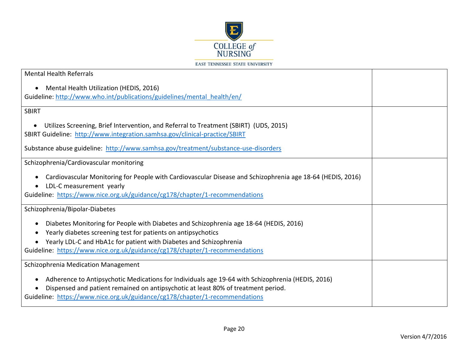

| <b>Mental Health Referrals</b>                                                                                                                                                                                                                                        |  |
|-----------------------------------------------------------------------------------------------------------------------------------------------------------------------------------------------------------------------------------------------------------------------|--|
| Mental Health Utilization (HEDIS, 2016)<br>Guideline: http://www.who.int/publications/guidelines/mental_health/en/                                                                                                                                                    |  |
| <b>SBIRT</b>                                                                                                                                                                                                                                                          |  |
| Utilizes Screening, Brief Intervention, and Referral to Treatment (SBIRT) (UDS, 2015)<br>$\bullet$<br>SBIRT Guideline: http://www.integration.samhsa.gov/clinical-practice/SBIRT                                                                                      |  |
| Substance abuse guideline: http://www.samhsa.gov/treatment/substance-use-disorders                                                                                                                                                                                    |  |
| Schizophrenia/Cardiovascular monitoring                                                                                                                                                                                                                               |  |
| Cardiovascular Monitoring for People with Cardiovascular Disease and Schizophrenia age 18-64 (HEDIS, 2016)<br>LDL-C measurement yearly                                                                                                                                |  |
| Guideline: https://www.nice.org.uk/guidance/cg178/chapter/1-recommendations                                                                                                                                                                                           |  |
| Schizophrenia/Bipolar-Diabetes                                                                                                                                                                                                                                        |  |
| Diabetes Monitoring for People with Diabetes and Schizophrenia age 18-64 (HEDIS, 2016)<br>Yearly diabetes screening test for patients on antipsychotics<br>Yearly LDL-C and HbA1c for patient with Diabetes and Schizophrenia                                         |  |
| Guideline: https://www.nice.org.uk/guidance/cg178/chapter/1-recommendations                                                                                                                                                                                           |  |
| Schizophrenia Medication Management                                                                                                                                                                                                                                   |  |
| Adherence to Antipsychotic Medications for Individuals age 19-64 with Schizophrenia (HEDIS, 2016)<br>Dispensed and patient remained on antipsychotic at least 80% of treatment period.<br>Guideline: https://www.nice.org.uk/guidance/cg178/chapter/1-recommendations |  |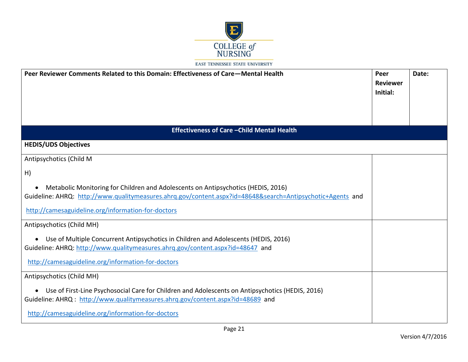

| Peer Reviewer Comments Related to this Domain: Effectiveness of Care–Mental Health                                                                                                                                                         | Peer<br><b>Reviewer</b><br>Initial: | Date: |
|--------------------------------------------------------------------------------------------------------------------------------------------------------------------------------------------------------------------------------------------|-------------------------------------|-------|
|                                                                                                                                                                                                                                            |                                     |       |
| <b>Effectiveness of Care - Child Mental Health</b>                                                                                                                                                                                         |                                     |       |
| <b>HEDIS/UDS Objectives</b>                                                                                                                                                                                                                |                                     |       |
| Antipsychotics (Child M                                                                                                                                                                                                                    |                                     |       |
| H)                                                                                                                                                                                                                                         |                                     |       |
| Metabolic Monitoring for Children and Adolescents on Antipsychotics (HEDIS, 2016)<br>Guideline: AHRQ: http://www.qualitymeasures.ahrq.gov/content.aspx?id=48648&search=Antipsychotic+Agents and                                            |                                     |       |
| http://camesaguideline.org/information-for-doctors                                                                                                                                                                                         |                                     |       |
| Antipsychotics (Child MH)                                                                                                                                                                                                                  |                                     |       |
| • Use of Multiple Concurrent Antipsychotics in Children and Adolescents (HEDIS, 2016)<br>Guideline: AHRQ: http://www.qualitymeasures.ahrq.gov/content.aspx?id=48647 and<br>http://camesaguideline.org/information-for-doctors              |                                     |       |
| Antipsychotics (Child MH)                                                                                                                                                                                                                  |                                     |       |
| • Use of First-Line Psychosocial Care for Children and Adolescents on Antipsychotics (HEDIS, 2016)<br>Guideline: AHRQ: http://www.qualitymeasures.ahrq.gov/content.aspx?id=48689 and<br>http://camesaguideline.org/information-for-doctors |                                     |       |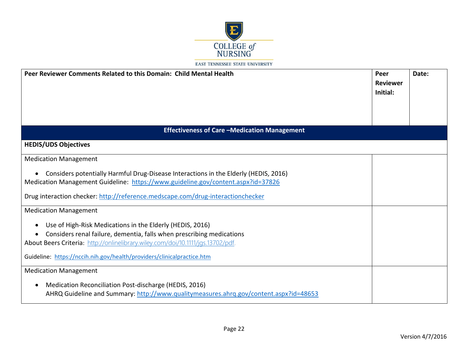

| Peer Reviewer Comments Related to this Domain: Child Mental Health                                                                                                                                                                                          | Peer<br><b>Reviewer</b><br>Initial: | Date: |
|-------------------------------------------------------------------------------------------------------------------------------------------------------------------------------------------------------------------------------------------------------------|-------------------------------------|-------|
| <b>Effectiveness of Care-Medication Management</b>                                                                                                                                                                                                          |                                     |       |
| <b>HEDIS/UDS Objectives</b>                                                                                                                                                                                                                                 |                                     |       |
| <b>Medication Management</b>                                                                                                                                                                                                                                |                                     |       |
| Considers potentially Harmful Drug-Disease Interactions in the Elderly (HEDIS, 2016)<br>Medication Management Guideline: https://www.guideline.gov/content.aspx?id=37826<br>Drug interaction checker: http://reference.medscape.com/drug-interactionchecker |                                     |       |
| <b>Medication Management</b>                                                                                                                                                                                                                                |                                     |       |
| Use of High-Risk Medications in the Elderly (HEDIS, 2016)                                                                                                                                                                                                   |                                     |       |
| Considers renal failure, dementia, falls when prescribing medications<br>About Beers Criteria: http://onlinelibrary.wiley.com/doi/10.1111/jgs.13702/pdf.                                                                                                    |                                     |       |
| Guideline: https://nccih.nih.gov/health/providers/clinicalpractice.htm                                                                                                                                                                                      |                                     |       |
| <b>Medication Management</b>                                                                                                                                                                                                                                |                                     |       |
| Medication Reconciliation Post-discharge (HEDIS, 2016)<br>AHRQ Guideline and Summary: http://www.qualitymeasures.ahrq.gov/content.aspx?id=48653                                                                                                             |                                     |       |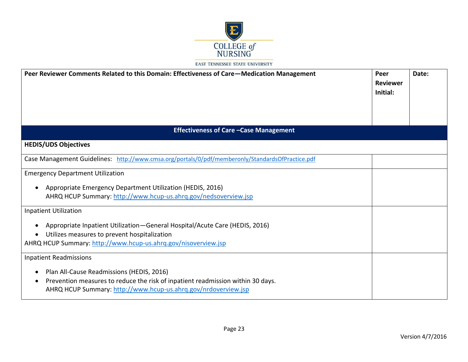

| Peer Reviewer Comments Related to this Domain: Effectiveness of Care-Medication Management                                                                                                                  | Peer<br><b>Reviewer</b><br>Initial: | Date: |
|-------------------------------------------------------------------------------------------------------------------------------------------------------------------------------------------------------------|-------------------------------------|-------|
| <b>Effectiveness of Care - Case Management</b>                                                                                                                                                              |                                     |       |
| <b>HEDIS/UDS Objectives</b>                                                                                                                                                                                 |                                     |       |
| Case Management Guidelines: http://www.cmsa.org/portals/0/pdf/memberonly/StandardsOfPractice.pdf                                                                                                            |                                     |       |
| <b>Emergency Department Utilization</b>                                                                                                                                                                     |                                     |       |
| Appropriate Emergency Department Utilization (HEDIS, 2016)<br>AHRQ HCUP Summary: http://www.hcup-us.ahrq.gov/nedsoverview.jsp                                                                               |                                     |       |
| <b>Inpatient Utilization</b>                                                                                                                                                                                |                                     |       |
| Appropriate Inpatient Utilization-General Hospital/Acute Care (HEDIS, 2016)<br>Utilizes measures to prevent hospitalization<br>AHRQ HCUP Summary: http://www.hcup-us.ahrq.gov/nisoverview.jsp               |                                     |       |
| <b>Inpatient Readmissions</b>                                                                                                                                                                               |                                     |       |
| Plan All-Cause Readmissions (HEDIS, 2016)<br>Prevention measures to reduce the risk of inpatient readmission within 30 days.<br>$\bullet$<br>AHRQ HCUP Summary: http://www.hcup-us.ahrq.gov/nrdoverview.jsp |                                     |       |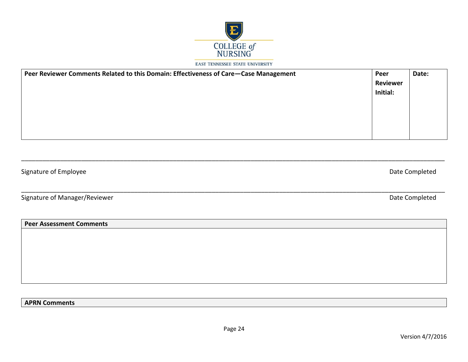

| Peer Reviewer Comments Related to this Domain: Effectiveness of Care-Case Management | Peer            | Date: |
|--------------------------------------------------------------------------------------|-----------------|-------|
|                                                                                      | <b>Reviewer</b> |       |
|                                                                                      | Initial:        |       |
|                                                                                      |                 |       |
|                                                                                      |                 |       |
|                                                                                      |                 |       |
|                                                                                      |                 |       |
|                                                                                      |                 |       |

\_\_\_\_\_\_\_\_\_\_\_\_\_\_\_\_\_\_\_\_\_\_\_\_\_\_\_\_\_\_\_\_\_\_\_\_\_\_\_\_\_\_\_\_\_\_\_\_\_\_\_\_\_\_\_\_\_\_\_\_\_\_\_\_\_\_\_\_\_\_\_\_\_\_\_\_\_\_\_\_\_\_\_\_\_\_\_\_\_\_\_\_\_\_\_\_\_\_\_\_\_\_\_\_\_\_\_\_\_\_\_\_\_\_\_\_\_\_\_\_

\_\_\_\_\_\_\_\_\_\_\_\_\_\_\_\_\_\_\_\_\_\_\_\_\_\_\_\_\_\_\_\_\_\_\_\_\_\_\_\_\_\_\_\_\_\_\_\_\_\_\_\_\_\_\_\_\_\_\_\_\_\_\_\_\_\_\_\_\_\_\_\_\_\_\_\_\_\_\_\_\_\_\_\_\_\_\_\_\_\_\_\_\_\_\_\_\_\_\_\_\_\_\_\_\_\_\_\_\_\_\_\_\_\_\_\_\_\_\_\_

Signature of Employee Date Completed

Signature of Manager/Reviewer **Date Completed** 

**Peer Assessment Comments**

**APRN Comments**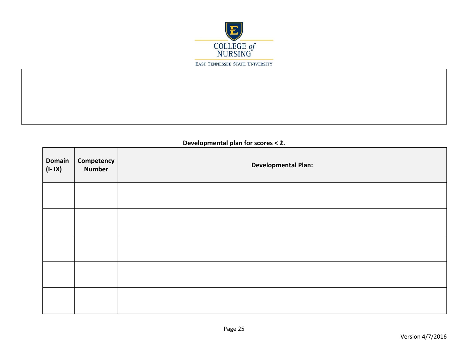

**Developmental plan for scores < 2.**

| Domain<br>$(I - IX)$ | Competency<br><b>Number</b> | <b>Developmental Plan:</b> |
|----------------------|-----------------------------|----------------------------|
|                      |                             |                            |
|                      |                             |                            |
|                      |                             |                            |
|                      |                             |                            |
|                      |                             |                            |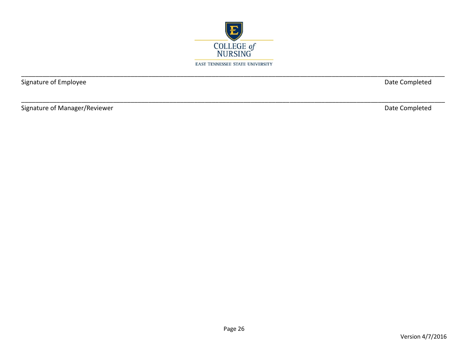

Signature of Employee

Date Completed

Signature of Manager/Reviewer

Date Completed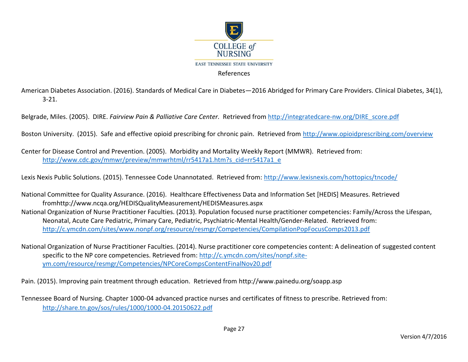

American Diabetes Association. (2016). Standards of Medical Care in Diabetes—2016 Abridged for Primary Care Providers. Clinical Diabetes, 34(1), 3-21.

Belgrade, Miles. (2005). DIRE. *Fairview Pain & Palliative Care Center.* Retrieved from [http://integratedcare-nw.org/DIRE\\_score.pdf](http://integratedcare-nw.org/DIRE_score.pdf)

Boston University. (2015). Safe and effective opioid prescribing for chronic pain. Retrieved from<http://www.opioidprescribing.com/overview>

Center for Disease Control and Prevention. (2005). Morbidity and Mortality Weekly Report (MMWR). Retrieved from: [http://www.cdc.gov/mmwr/preview/mmwrhtml/rr5417a1.htm?s\\_cid=rr5417a1\\_e](http://www.cdc.gov/mmwr/preview/mmwrhtml/rr5417a1.htm?s_cid=rr5417a1_e)

Lexis Nexis Public Solutions. (2015). Tennessee Code Unannotated. Retrieved from:<http://www.lexisnexis.com/hottopics/tncode/>

National Committee for Quality Assurance. (2016). Healthcare Effectiveness Data and Information Set [HEDIS] Measures. Retrieved fromhttp://www.ncqa.org/HEDISQualityMeasurement/HEDISMeasures.aspx National Organization of Nurse Practitioner Faculties. (2013). Population focused nurse practitioner competencies: Family/Across the Lifespan, Neonatal, Acute Care Pediatric, Primary Care, Pediatric, Psychiatric-Mental Health/Gender-Related. Retrieved from: <http://c.ymcdn.com/sites/www.nonpf.org/resource/resmgr/Competencies/CompilationPopFocusComps2013.pdf>

National Organization of Nurse Practitioner Faculties. (2014). Nurse practitioner core competencies content: A delineation of suggested content specific to the NP core competencies. Retrieved from: [http://c.ymcdn.com/sites/nonpf.site](http://c.ymcdn.com/sites/nonpf.site-ym.com/resource/resmgr/Competencies/NPCoreCompsContentFinalNov20.pdf)[ym.com/resource/resmgr/Competencies/NPCoreCompsContentFinalNov20.pdf](http://c.ymcdn.com/sites/nonpf.site-ym.com/resource/resmgr/Competencies/NPCoreCompsContentFinalNov20.pdf) 

Pain. (2015). Improving pain treatment through education. Retrieved from http://www.painedu.org/soapp.asp

Tennessee Board of Nursing. Chapter 1000-04 advanced practice nurses and certificates of fitness to prescribe. Retrieved from: <http://share.tn.gov/sos/rules/1000/1000-04.20150622.pdf>